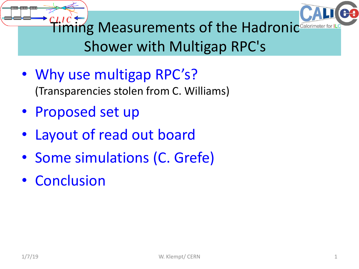



**Timing Measurements of the Hadronic** Calorimeter for ILC Shower with Multigap RPC's

- Why use multigap RPC's? (Transparencies stolen from C. Williams)
- Proposed set up
- Layout of read out board
- Some simulations (C. Grefe)
- Conclusion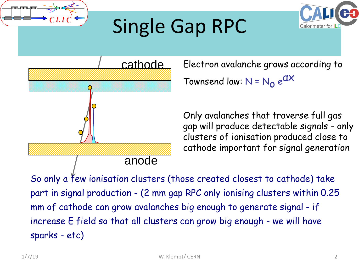

## Single Gap RPC



Electron avalanche grows according to Townsend law:  $N = N_0 e^{dX}$ 

Only avalanches that traverse full gas gap will produce detectable signals - only clusters of ionisation produced close to cathode important for signal generation

So only a few ionisation clusters (those created closest to cathode) take part in signal production - (2 mm gap RPC only ionising clusters within 0.25 mm of cathode can grow avalanches big enough to generate signal - if increase E field so that all clusters can grow big enough - we will have sparks - etc)

Calorimeter for IL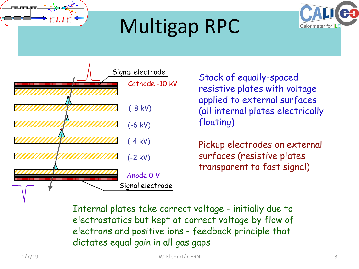

# Multigap RPC





resistive plates with voltage applied to external surfaces (all internal plates electrically floating)

Pickup electrodes on external surfaces (resistive plates transparent to fast signal)

Internal plates take correct voltage - initially due to electrostatics but kept at correct voltage by flow of electrons and positive ions - feedback principle that dictates equal gain in all gas gaps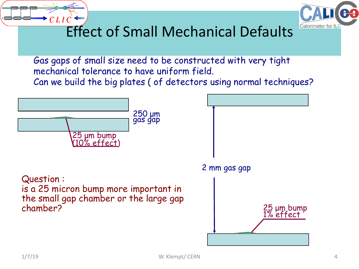



#### Effect of Small Mechanical Defaults

Gas gaps of small size need to be constructed with very tight mechanical tolerance to have uniform field. Can we build the big plates ( of detectors using normal techniques?

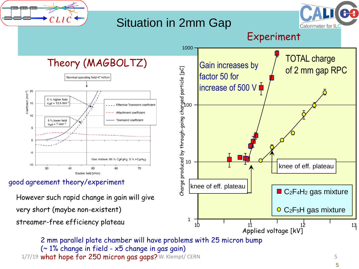

(~ 1% change in field - x5 change in gas gain)  $1/7/19$  what hope for 250 micron gas gaps? W. Klempt/ CERN  $5\,$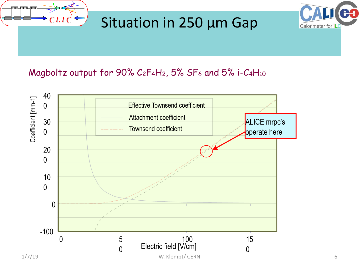

#### Situation in 250 μm Gap



#### Magboltz output for 90% C<sub>2</sub>F<sub>4</sub>H<sub>2</sub>, 5% SF<sub>6</sub> and 5% i-C<sub>4</sub>H<sub>10</sub>

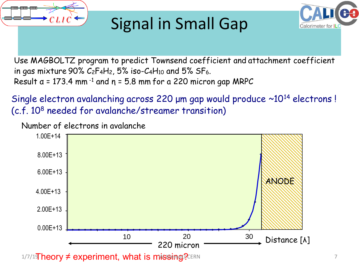

### Signal in Small Gap



Use MAGBOLTZ program to predict Townsend coefficient and attachment coefficient in gas mixture 90%  $C_2F_4H_2$ , 5% iso- $C_4H_{10}$  and 5% SF<sub>6</sub>. Result  $a = 173.4$  mm<sup>-1</sup> and  $n = 5.8$  mm for a 220 micron gap MRPC

Single electron avalanching across 220 μm gap would produce ~10<sup>14</sup> electrons ! (c.f. 10<sup>8</sup> needed for avalanche/streamer transition)

Number of electrons in avalanche

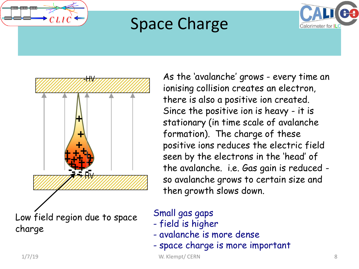

### Space Charge





As the 'avalanche' grows - every time an ionising collision creates an electron, there is also a positive ion created. Since the positive ion is heavy - it is stationary (in time scale of avalanche formation). The charge of these positive ions reduces the electric field seen by the electrons in the 'head' of the avalanche. i.e. Gas gain is reduced so avalanche grows to certain size and then growth slows down.

#### Small gas gaps

- field is higher
- avalanche is more dense
- space charge is more important

1/7/19 W. Klempt/ CERN 8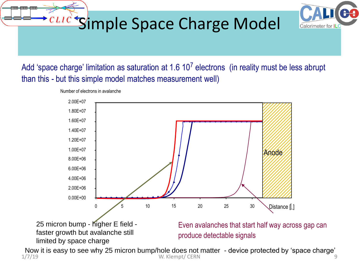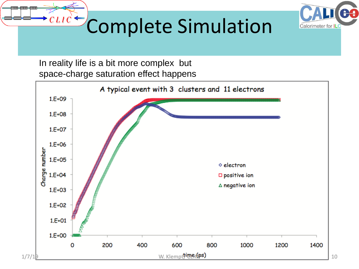



# $\frac{CLIC}{C}$ Complete Simulation

In reality life is a bit more complex but space-charge saturation effect happens

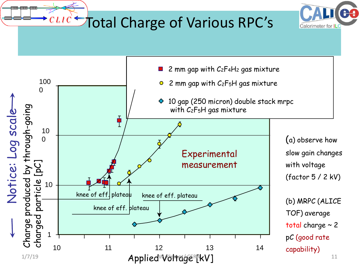### $\frac{CLIC}{C}$  Total Charge of Various RPC's



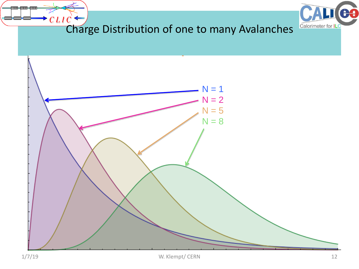



### $\overline{CLIC}$  Charge Distribution of one to many Avalanches

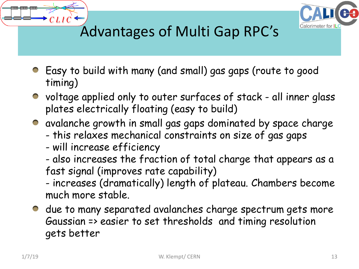



#### Advantages of Multi Gap RPC's

- Easy to build with many (and small) gas gaps (route to good timing)
- voltage applied only to outer surfaces of stack all inner glass plates electrically floating (easy to build)
- avalanche growth in small gas gaps dominated by space charge
	- this relaxes mechanical constraints on size of gas gaps
	- will increase efficiency
	- also increases the fraction of total charge that appears as a fast signal (improves rate capability)

- increases (dramatically) length of plateau. Chambers become much more stable.

• due to many separated avalanches charge spectrum gets more Gaussian => easier to set thresholds and timing resolution gets better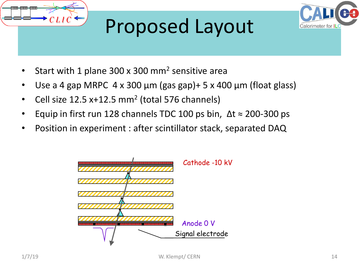

# Proposed Layout



- Start with 1 plane 300 x 300 mm<sup>2</sup> sensitive area
- Use a 4 gap MRPC  $4 \times 300 \mu m$  (gas gap)+ 5 x 400  $\mu m$  (float glass)
- Cell size  $12.5 x+12.5 mm<sup>2</sup>$  (total 576 channels)
- Equip in first run 128 channels TDC 100 ps bin,  $\Delta t \approx 200$ -300 ps
- Position in experiment : after scintillator stack, separated DAQ

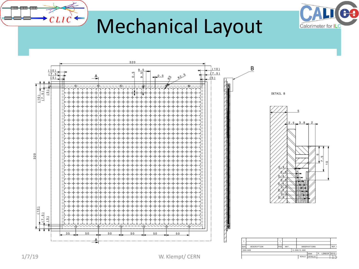

### Mechanical Layout



 $CLIC$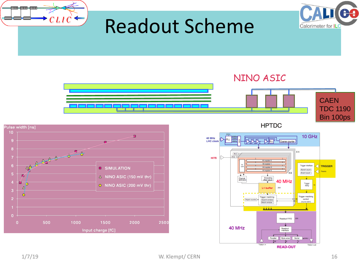

**READ-OUT**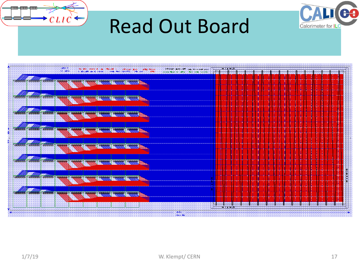

### Read Out Board



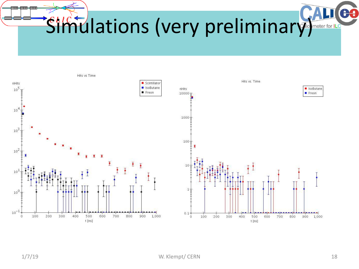D.C Simulations (very preliminary) Meter for ILe